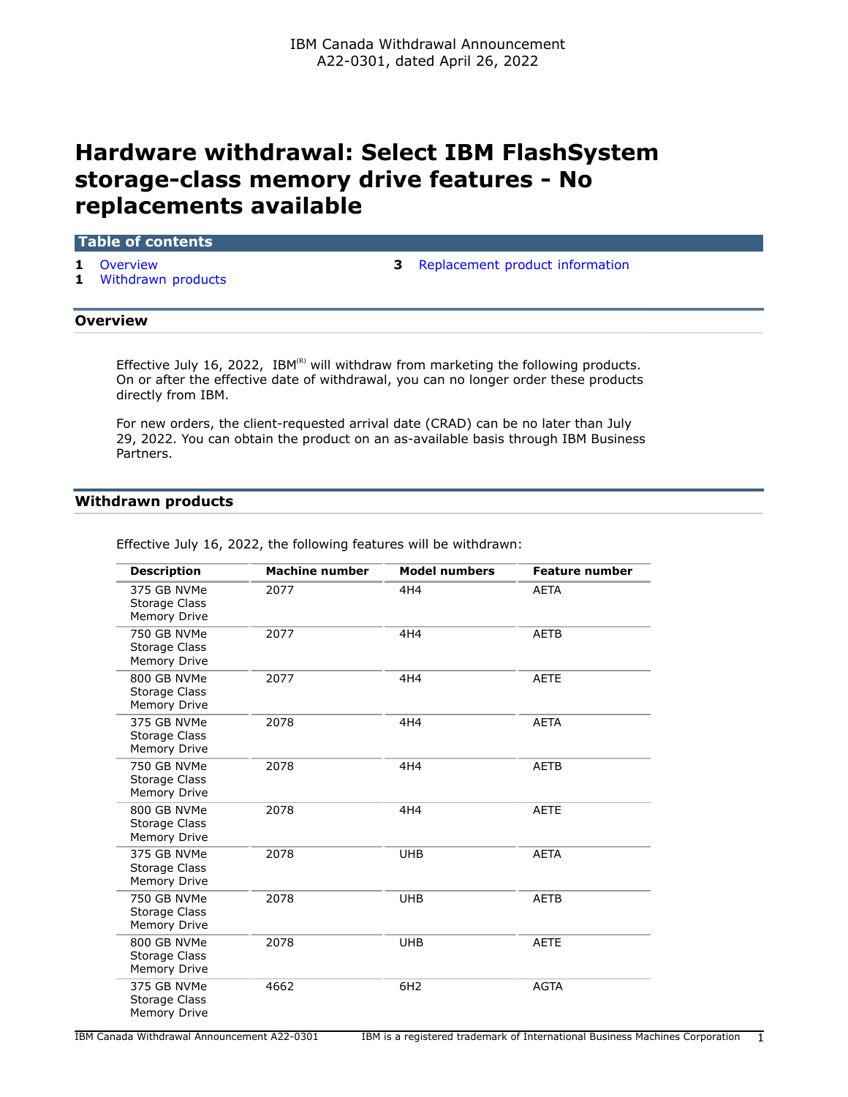# **Hardware withdrawal: Select IBM FlashSystem storage-class memory drive features - No replacements available**

## **Table of contents**

- 
- **1** [Withdrawn products](#page-0-1)
- **1** [Overview](#page-0-0) **3** [Replacement product information](#page-2-0)

## <span id="page-0-0"></span>**Overview**

Effective July 16, 2022, IBM $^{(R)}$  will withdraw from marketing the following products. On or after the effective date of withdrawal, you can no longer order these products directly from IBM.

For new orders, the client-requested arrival date (CRAD) can be no later than July 29, 2022. You can obtain the product on an as-available basis through IBM Business Partners.

## <span id="page-0-1"></span>**Withdrawn products**

| <b>Description</b>                                         | <b>Machine number</b> | <b>Model numbers</b> | <b>Feature number</b> |
|------------------------------------------------------------|-----------------------|----------------------|-----------------------|
| 375 GB NVMe<br>Storage Class<br>Memory Drive               | 2077                  | 4H4                  | <b>AETA</b>           |
| 750 GB NVMe<br>Storage Class<br><b>Memory Drive</b>        | 2077                  | 4H4                  | <b>AETB</b>           |
| 800 GB NVMe<br>Storage Class<br><b>Memory Drive</b>        | 2077                  | 4H4                  | <b>AETE</b>           |
| 375 GB NVMe<br>Storage Class<br><b>Memory Drive</b>        | 2078                  | 4H4                  | <b>AETA</b>           |
| 750 GB NVMe<br><b>Storage Class</b><br><b>Memory Drive</b> | 2078                  | 4H4                  | <b>AETB</b>           |
| 800 GB NVMe<br><b>Storage Class</b><br>Memory Drive        | 2078                  | 4H4                  | <b>AETE</b>           |
| 375 GB NVMe<br>Storage Class<br><b>Memory Drive</b>        | 2078                  | <b>UHB</b>           | <b>AETA</b>           |
| 750 GB NVMe<br>Storage Class<br>Memory Drive               | 2078                  | <b>UHB</b>           | <b>AETB</b>           |
| 800 GB NVMe<br>Storage Class<br><b>Memory Drive</b>        | 2078                  | <b>UHB</b>           | <b>AETE</b>           |
| 375 GB NVMe<br>Storage Class<br><b>Memory Drive</b>        | 4662                  | 6H <sub>2</sub>      | <b>AGTA</b>           |

Effective July 16, 2022, the following features will be withdrawn: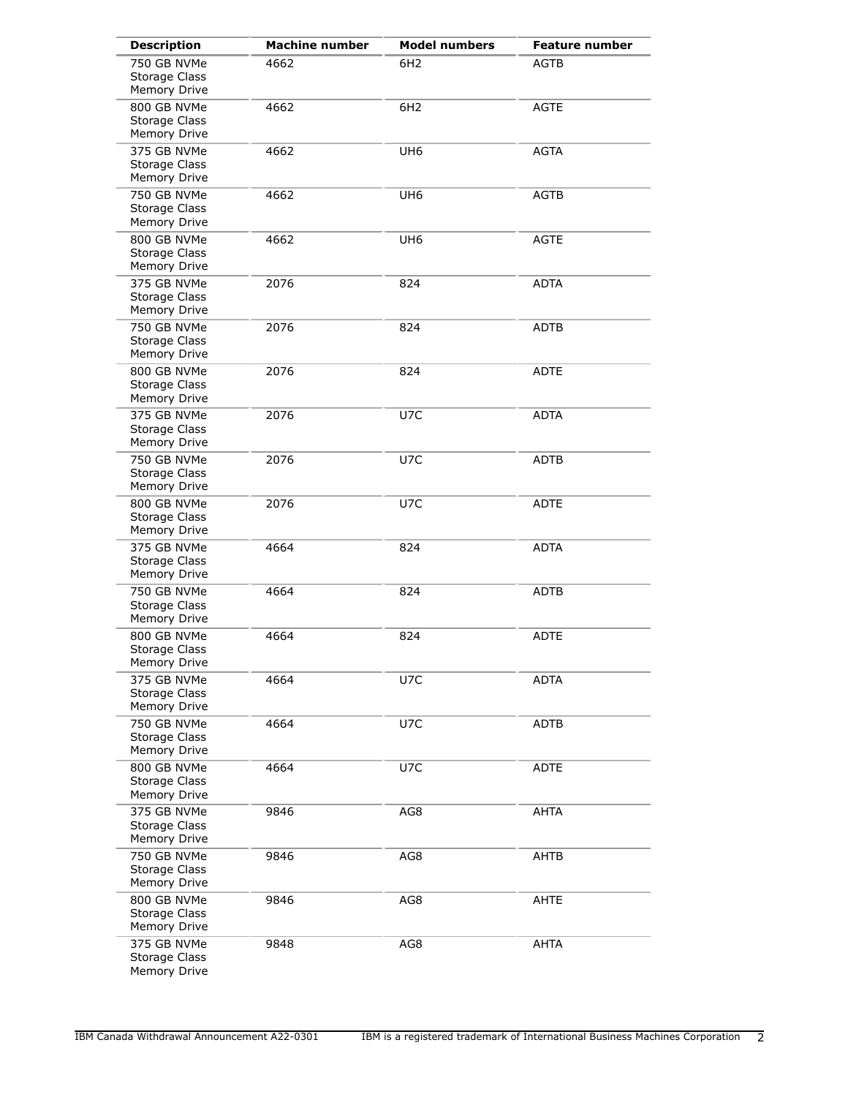| <b>Description</b>                                  | <b>Machine number</b> | <b>Model numbers</b> | <b>Feature number</b> |
|-----------------------------------------------------|-----------------------|----------------------|-----------------------|
| 750 GB NVMe<br>Storage Class<br>Memory Drive        | 4662                  | 6H <sub>2</sub>      | <b>AGTB</b>           |
| 800 GB NVMe<br>Storage Class<br>Memory Drive        | 4662                  | 6H <sub>2</sub>      | <b>AGTE</b>           |
| 375 GB NVMe<br>Storage Class<br>Memory Drive        | 4662                  | UH <sub>6</sub>      | <b>AGTA</b>           |
| 750 GB NVMe<br>Storage Class<br>Memory Drive        | 4662                  | UH <sub>6</sub>      | <b>AGTB</b>           |
| 800 GB NVMe<br>Storage Class<br>Memory Drive        | 4662                  | UH <sub>6</sub>      | <b>AGTE</b>           |
| 375 GB NVMe<br>Storage Class<br>Memory Drive        | 2076                  | 824                  | <b>ADTA</b>           |
| 750 GB NVMe<br>Storage Class<br>Memory Drive        | 2076                  | 824                  | ADTB                  |
| 800 GB NVMe<br>Storage Class<br>Memory Drive        | 2076                  | 824                  | <b>ADTE</b>           |
| 375 GB NVMe<br>Storage Class<br>Memory Drive        | 2076                  | U7C                  | <b>ADTA</b>           |
| 750 GB NVMe<br>Storage Class<br>Memory Drive        | 2076                  | U7C                  | ADTB                  |
| 800 GB NVMe<br>Storage Class<br>Memory Drive        | 2076                  | U7C                  | <b>ADTE</b>           |
| 375 GB NVMe<br>Storage Class<br>Memory Drive        | 4664                  | 824                  | <b>ADTA</b>           |
| 750 GB NVMe<br>Storage Class<br>Memory Drive        | 4664                  | 824                  | <b>ADTB</b>           |
| 800 GB NVMe<br>Storage Class<br>Memory Drive        | 4664                  | 824                  | <b>ADTE</b>           |
| 375 GB NVMe<br>Storage Class<br>Memory Drive        | 4664                  | U7C                  | <b>ADTA</b>           |
| 750 GB NVMe<br>Storage Class<br>Memory Drive        | 4664                  | U7C                  | <b>ADTB</b>           |
| 800 GB NVMe<br><b>Storage Class</b><br>Memory Drive | 4664                  | U7C                  | ADTE                  |
| 375 GB NVMe<br><b>Storage Class</b><br>Memory Drive | 9846                  | AG8                  | <b>AHTA</b>           |
| 750 GB NVMe<br>Storage Class<br>Memory Drive        | 9846                  | AG8                  | AHTB                  |
| 800 GB NVMe<br><b>Storage Class</b><br>Memory Drive | 9846                  | AG8                  | AHTE                  |
| 375 GB NVMe<br><b>Storage Class</b><br>Memory Drive | 9848                  | AG8                  | AHTA                  |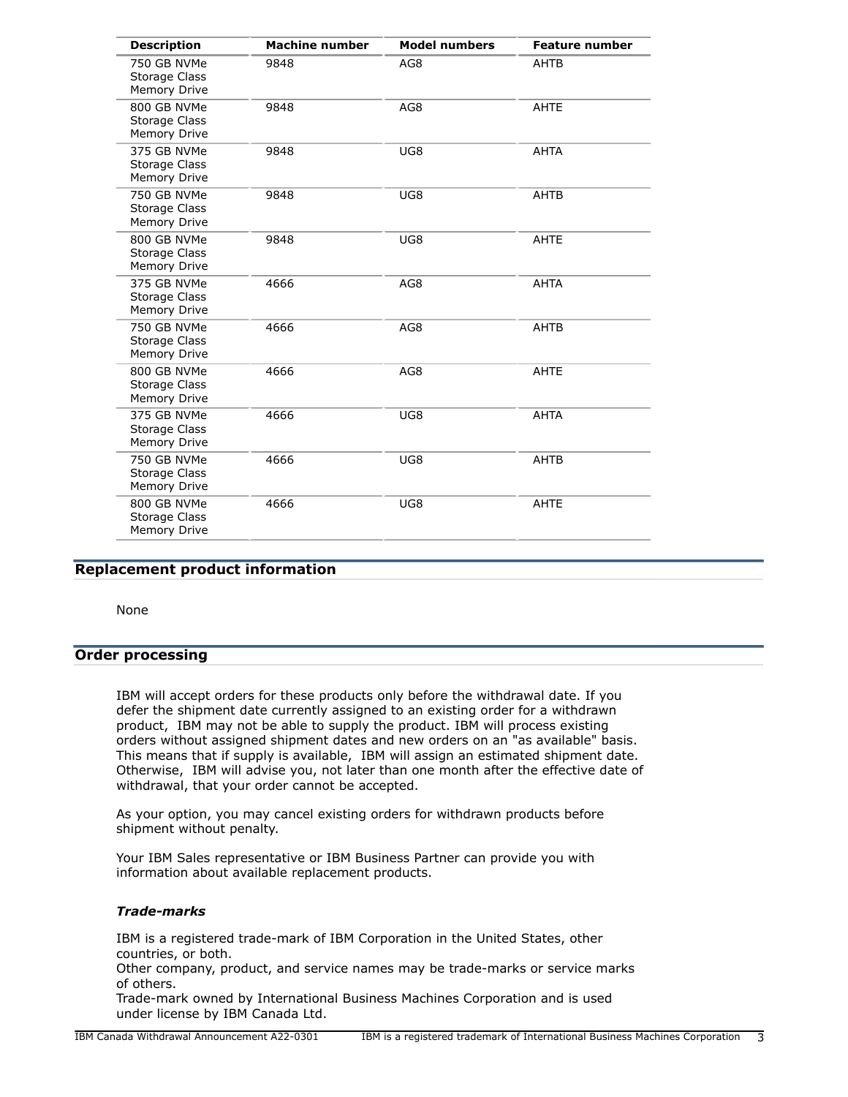| <b>Description</b>                                         | <b>Machine number</b> | <b>Model numbers</b> | <b>Feature number</b> |
|------------------------------------------------------------|-----------------------|----------------------|-----------------------|
| 750 GB NVMe<br>Storage Class<br><b>Memory Drive</b>        | 9848                  | AG8                  | AHTB                  |
| 800 GB NVMe<br><b>Storage Class</b><br><b>Memory Drive</b> | 9848                  | AG8                  | <b>AHTE</b>           |
| 375 GB NVMe<br><b>Storage Class</b><br>Memory Drive        | 9848                  | UG8                  | <b>AHTA</b>           |
| 750 GB NVMe<br>Storage Class<br>Memory Drive               | 9848                  | UG8                  | AHTB                  |
| 800 GB NVMe<br>Storage Class<br><b>Memory Drive</b>        | 9848                  | UG8                  | <b>AHTE</b>           |
| 375 GB NVMe<br><b>Storage Class</b><br>Memory Drive        | 4666                  | AG8                  | <b>AHTA</b>           |
| 750 GB NVMe<br>Storage Class<br><b>Memory Drive</b>        | 4666                  | AG8                  | AHTB                  |
| 800 GB NVMe<br><b>Storage Class</b><br><b>Memory Drive</b> | 4666                  | AG8                  | <b>AHTE</b>           |
| 375 GB NVMe<br><b>Storage Class</b><br>Memory Drive        | 4666                  | UG8                  | <b>AHTA</b>           |
| 750 GB NVMe<br>Storage Class<br>Memory Drive               | 4666                  | UG8                  | AHTB                  |
| 800 GB NVMe<br>Storage Class<br><b>Memory Drive</b>        | 4666                  | UG8                  | <b>AHTE</b>           |

# <span id="page-2-0"></span>**Replacement product information**

None

# **Order processing**

IBM will accept orders for these products only before the withdrawal date. If you defer the shipment date currently assigned to an existing order for a withdrawn product, IBM may not be able to supply the product. IBM will process existing orders without assigned shipment dates and new orders on an "as available" basis. This means that if supply is available, IBM will assign an estimated shipment date. Otherwise, IBM will advise you, not later than one month after the effective date of withdrawal, that your order cannot be accepted.

As your option, you may cancel existing orders for withdrawn products before shipment without penalty.

Your IBM Sales representative or IBM Business Partner can provide you with information about available replacement products.

# *Trade-marks*

IBM is a registered trade-mark of IBM Corporation in the United States, other countries, or both.

Other company, product, and service names may be trade-marks or service marks of others.

Trade-mark owned by International Business Machines Corporation and is used under license by IBM Canada Ltd.